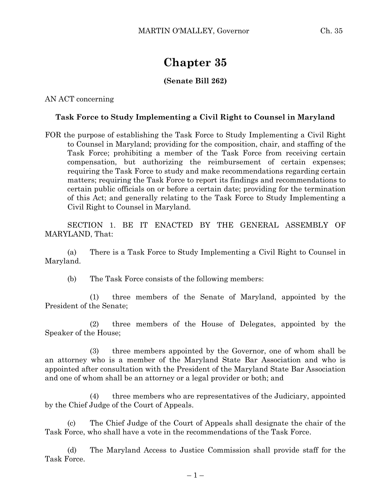## **Chapter 35**

## **(Senate Bill 262)**

AN ACT concerning

## **Task Force to Study Implementing a Civil Right to Counsel in Maryland**

FOR the purpose of establishing the Task Force to Study Implementing a Civil Right to Counsel in Maryland; providing for the composition, chair, and staffing of the Task Force; prohibiting a member of the Task Force from receiving certain compensation, but authorizing the reimbursement of certain expenses; requiring the Task Force to study and make recommendations regarding certain matters; requiring the Task Force to report its findings and recommendations to certain public officials on or before a certain date; providing for the termination of this Act; and generally relating to the Task Force to Study Implementing a Civil Right to Counsel in Maryland.

SECTION 1. BE IT ENACTED BY THE GENERAL ASSEMBLY OF MARYLAND, That:

(a) There is a Task Force to Study Implementing a Civil Right to Counsel in Maryland.

(b) The Task Force consists of the following members:

(1) three members of the Senate of Maryland, appointed by the President of the Senate;

(2) three members of the House of Delegates, appointed by the Speaker of the House;

(3) three members appointed by the Governor, one of whom shall be an attorney who is a member of the Maryland State Bar Association and who is appointed after consultation with the President of the Maryland State Bar Association and one of whom shall be an attorney or a legal provider or both; and

(4) three members who are representatives of the Judiciary, appointed by the Chief Judge of the Court of Appeals.

(c) The Chief Judge of the Court of Appeals shall designate the chair of the Task Force, who shall have a vote in the recommendations of the Task Force.

(d) The Maryland Access to Justice Commission shall provide staff for the Task Force.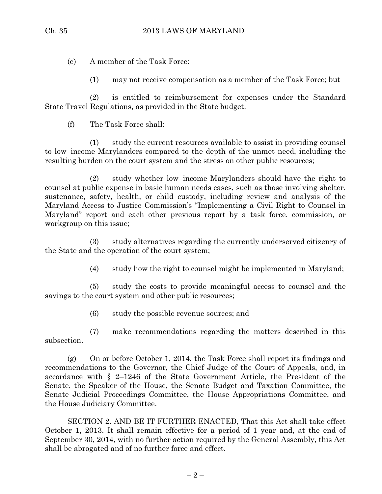(e) A member of the Task Force:

(1) may not receive compensation as a member of the Task Force; but

(2) is entitled to reimbursement for expenses under the Standard State Travel Regulations, as provided in the State budget.

(f) The Task Force shall:

(1) study the current resources available to assist in providing counsel to low–income Marylanders compared to the depth of the unmet need, including the resulting burden on the court system and the stress on other public resources;

(2) study whether low–income Marylanders should have the right to counsel at public expense in basic human needs cases, such as those involving shelter, sustenance, safety, health, or child custody, including review and analysis of the Maryland Access to Justice Commission's "Implementing a Civil Right to Counsel in Maryland" report and each other previous report by a task force, commission, or workgroup on this issue;

(3) study alternatives regarding the currently underserved citizenry of the State and the operation of the court system;

(4) study how the right to counsel might be implemented in Maryland;

(5) study the costs to provide meaningful access to counsel and the savings to the court system and other public resources;

(6) study the possible revenue sources; and

(7) make recommendations regarding the matters described in this subsection.

(g) On or before October 1, 2014, the Task Force shall report its findings and recommendations to the Governor, the Chief Judge of the Court of Appeals, and, in accordance with § 2–1246 of the State Government Article, the President of the Senate, the Speaker of the House, the Senate Budget and Taxation Committee, the Senate Judicial Proceedings Committee, the House Appropriations Committee, and the House Judiciary Committee.

SECTION 2. AND BE IT FURTHER ENACTED, That this Act shall take effect October 1, 2013. It shall remain effective for a period of 1 year and, at the end of September 30, 2014, with no further action required by the General Assembly, this Act shall be abrogated and of no further force and effect.